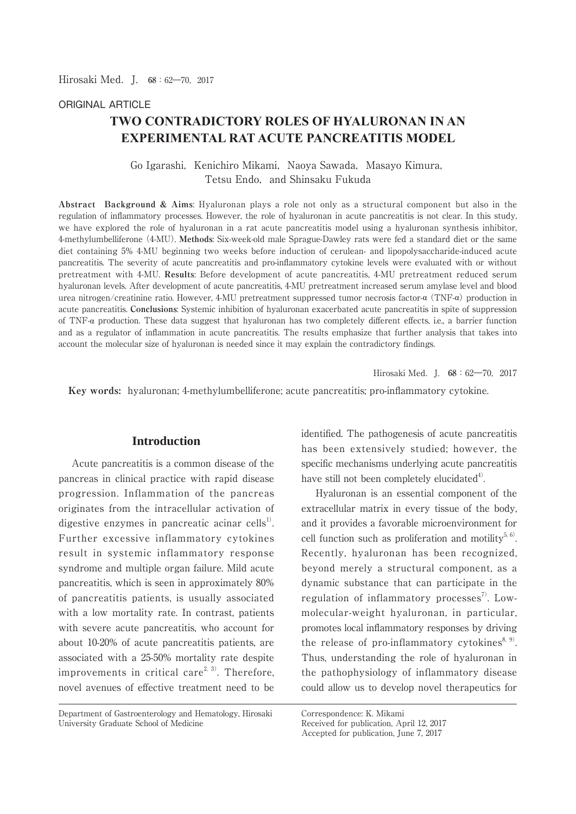### ORIGINAL ARTICLE

# **TWO CONTRADICTORY ROLES OF HYALURONAN IN AN EXPERIMENTAL RAT ACUTE PANCREATITIS MODEL**

Go Igarashi, Kenichiro Mikami, Naoya Sawada, Masayo Kimura, Tetsu Endo, and Shinsaku Fukuda

**Abstract Background & Aims**: Hyaluronan plays a role not only as a structural component but also in the regulation of inflammatory processes. However, the role of hyaluronan in acute pancreatitis is not clear. In this study, we have explored the role of hyaluronan in a rat acute pancreatitis model using a hyaluronan synthesis inhibitor, 4-methylumbelliferone (4-MU). **Methods**: Six-week-old male Sprague-Dawley rats were fed a standard diet or the same diet containing 5% 4-MU beginning two weeks before induction of cerulean- and lipopolysaccharide-induced acute pancreatitis. The severity of acute pancreatitis and pro-inflammatory cytokine levels were evaluated with or without pretreatment with 4-MU. **Results**: Before development of acute pancreatitis, 4-MU pretreatment reduced serum hyaluronan levels. After development of acute pancreatitis, 4-MU pretreatment increased serum amylase level and blood urea nitrogen/creatinine ratio. However, 4-MU pretreatment suppressed tumor necrosis factor- $\alpha$  (TNF- $\alpha$ ) production in acute pancreatitis. **Conclusions**: Systemic inhibition of hyaluronan exacerbated acute pancreatitis in spite of suppression of TNF- $\alpha$  production. These data suggest that hyaluronan has two completely different effects, i.e., a barrier function and as a regulator of inflammation in acute pancreatitis. The results emphasize that further analysis that takes into account the molecular size of hyaluronan is needed since it may explain the contradictory findings.

Hirosaki Med.J. **68**:62―70,2017

 **Key words:** hyaluronan; 4-methylumbelliferone; acute pancreatitis; pro-inflammatory cytokine.

### **Introduction**

 Acute pancreatitis is a common disease of the pancreas in clinical practice with rapid disease progression. Inflammation of the pancreas originates from the intracellular activation of digestive enzymes in pancreatic acinar cells<sup>1</sup>. Further excessive inflammatory cytokines result in systemic inflammatory response syndrome and multiple organ failure. Mild acute pancreatitis, which is seen in approximately 80% of pancreatitis patients, is usually associated with a low mortality rate. In contrast, patients with severe acute pancreatitis, who account for about 10-20% of acute pancreatitis patients, are associated with a 25-50% mortality rate despite improvements in critical care<sup>2, 3)</sup>. Therefore, novel avenues of effective treatment need to be

Department of Gastroenterology and Hematology, Hirosaki University Graduate School of Medicine

identified. The pathogenesis of acute pancreatitis has been extensively studied; however, the specific mechanisms underlying acute pancreatitis have still not been completely elucidated $4^{\circ}$ .

 Hyaluronan is an essential component of the extracellular matrix in every tissue of the body, and it provides a favorable microenvironment for cell function such as proliferation and motility<sup>5, 6)</sup>. Recently, hyaluronan has been recognized, beyond merely a structural component, as a dynamic substance that can participate in the regulation of inflammatory processes<sup>7</sup>. Lowmolecular-weight hyaluronan, in particular, promotes local inflammatory responses by driving the release of pro-inflammatory cytokines<sup>8, 9)</sup>. Thus, understanding the role of hyaluronan in the pathophysiology of inflammatory disease could allow us to develop novel therapeutics for

Correspondence: K. Mikami Received for publication, April 12, 2017 Accepted for publication, June 7, 2017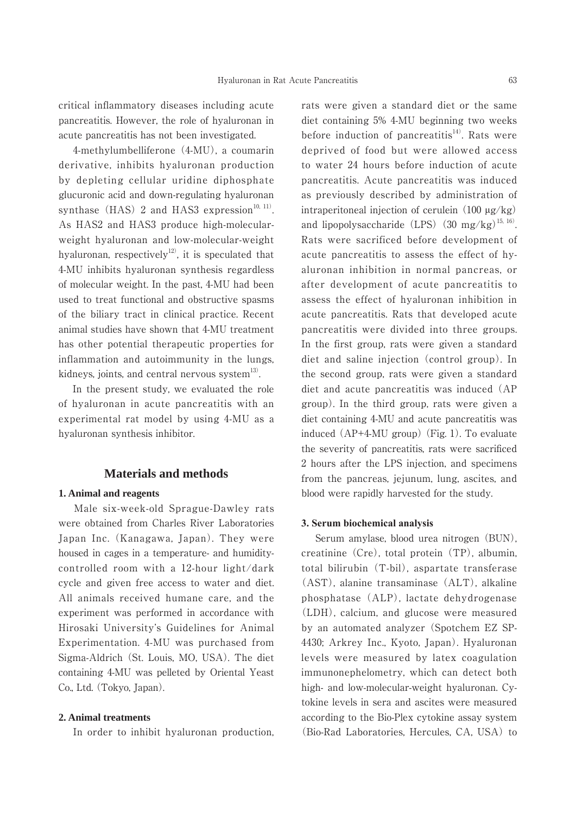critical inflammatory diseases including acute pancreatitis. However, the role of hyaluronan in acute pancreatitis has not been investigated.

 4-methylumbelliferone (4-MU), a coumarin derivative, inhibits hyaluronan production by depleting cellular uridine diphosphate glucuronic acid and down-regulating hyaluronan synthase (HAS) 2 and HAS3 expression<sup>10, 11)</sup>. As HAS2 and HAS3 produce high-molecularweight hyaluronan and low-molecular-weight hyaluronan, respectively<sup>12)</sup>, it is speculated that 4-MU inhibits hyaluronan synthesis regardless of molecular weight. In the past, 4-MU had been used to treat functional and obstructive spasms of the biliary tract in clinical practice. Recent animal studies have shown that 4-MU treatment has other potential therapeutic properties for inflammation and autoimmunity in the lungs, kidneys, joints, and central nervous system $^{13}$ .

 In the present study, we evaluated the role of hyaluronan in acute pancreatitis with an experimental rat model by using 4-MU as a hyaluronan synthesis inhibitor.

### **Materials and methods**

#### **1. Animal and reagents**

 Male six-week-old Sprague-Dawley rats were obtained from Charles River Laboratories Japan Inc. (Kanagawa, Japan). They were housed in cages in a temperature- and humiditycontrolled room with a 12-hour light/dark cycle and given free access to water and diet. All animals received humane care, and the experiment was performed in accordance with Hirosaki University's Guidelines for Animal Experimentation. 4-MU was purchased from Sigma-Aldrich (St. Louis, MO, USA). The diet containing 4-MU was pelleted by Oriental Yeast Co., Ltd. (Tokyo, Japan).

#### **2. Animal treatments**

In order to inhibit hyaluronan production,

rats were given a standard diet or the same diet containing 5% 4-MU beginning two weeks before induction of pancreatitis<sup>14)</sup>. Rats were deprived of food but were allowed access to water 24 hours before induction of acute pancreatitis. Acute pancreatitis was induced as previously described by administration of intraperitoneal injection of cerulein  $(100 \mu g/kg)$ and lipopolysaccharide (LPS) (30 mg/kg)<sup>15, 16)</sup>. Rats were sacrificed before development of acute pancreatitis to assess the effect of hyaluronan inhibition in normal pancreas, or after development of acute pancreatitis to assess the effect of hyaluronan inhibition in acute pancreatitis. Rats that developed acute pancreatitis were divided into three groups. In the first group, rats were given a standard diet and saline injection (control group). In the second group, rats were given a standard diet and acute pancreatitis was induced (AP group). In the third group, rats were given a diet containing 4-MU and acute pancreatitis was induced (AP+4-MU group) (Fig. 1). To evaluate the severity of pancreatitis, rats were sacrificed 2 hours after the LPS injection, and specimens from the pancreas, jejunum, lung, ascites, and blood were rapidly harvested for the study.

#### **3. Serum biochemical analysis**

 Serum amylase, blood urea nitrogen (BUN), creatinine (Cre), total protein (TP), albumin, total bilirubin (T-bil), aspartate transferase (AST), alanine transaminase (ALT), alkaline phosphatase (ALP), lactate dehydrogenase (LDH), calcium, and glucose were measured by an automated analyzer (Spotchem EZ SP-4430; Arkrey Inc., Kyoto, Japan). Hyaluronan levels were measured by latex coagulation immunonephelometry, which can detect both high- and low-molecular-weight hyaluronan. Cytokine levels in sera and ascites were measured according to the Bio-Plex cytokine assay system (Bio-Rad Laboratories, Hercules, CA, USA) to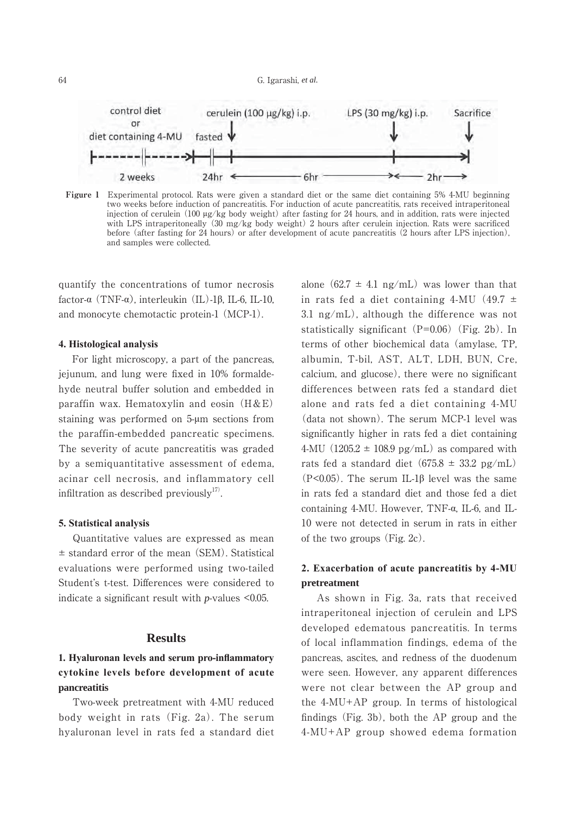

**Figure 1** Experimental protocol. Rats were given a standard diet or the same diet containing 5% 4-MU beginning two weeks before induction of pancreatitis. For induction of acute pancreatitis, rats received intraperitoneal injection of cerulein  $(100 \mu g/kg)$  body weight) after fasting for 24 hours, and in addition, rats were injected with LPS intraperitoneally (30 mg/kg body weight) 2 hours after cerulein injection. Rats were sacrificed before (after fasting for 24 hours) or after development of acute pancreatitis (2 hours after LPS injection), and samples were collected.

quantify the concentrations of tumor necrosis factor- $\alpha$  (TNF- $\alpha$ ), interleukin (IL)-1 $\beta$ , IL-6, IL-10, and monocyte chemotactic protein-1 (MCP-1).

#### **4. Histological analysis**

 For light microscopy, a part of the pancreas, jejunum, and lung were fixed in 10% formaldehyde neutral buffer solution and embedded in paraffin wax. Hematoxylin and eosin  $(H&E)$ staining was performed on 5-µm sections from the paraffin-embedded pancreatic specimens. The severity of acute pancreatitis was graded by a semiquantitative assessment of edema, acinar cell necrosis, and inflammatory cell infiltration as described previously<sup>17)</sup>.

#### **5. Statistical analysis**

 Quantitative values are expressed as mean ± standard error of the mean (SEM). Statistical evaluations were performed using two-tailed Student's t-test. Differences were considered to indicate a significant result with *p*-values <0.05.

#### **Results**

## 1. Hyaluronan levels and serum pro-inflammatory cytokine levels before development of acute **pancreatitis**

 Two-week pretreatment with 4-MU reduced body weight in rats (Fig. 2a). The serum hyaluronan level in rats fed a standard diet alone  $(62.7 \pm 4.1 \text{ ng/mL})$  was lower than that in rats fed a diet containing 4-MU  $(49.7 \pm$ 3.1 ng/mL), although the difference was not statistically significant  $(P=0.06)$  (Fig. 2b). In terms of other biochemical data (amylase, TP, albumin, T-bil, AST, ALT, LDH, BUN, Cre, calcium, and glucose), there were no significant differences between rats fed a standard diet alone and rats fed a diet containing 4-MU (data not shown). The serum MCP-1 level was significantly higher in rats fed a diet containing 4-MU (1205.2  $\pm$  108.9 pg/mL) as compared with rats fed a standard diet  $(675.8 \pm 33.2 \text{ pg/mL})$ (P<0.05). The serum IL-1 $\beta$  level was the same in rats fed a standard diet and those fed a diet containing 4-MU. However, TNF- $\alpha$ , IL-6, and IL-10 were not detected in serum in rats in either of the two groups (Fig. 2c).

## **2. Exacerbation of acute pancreatitis by 4-MU pretreatment**

 As shown in Fig. 3a, rats that received intraperitoneal injection of cerulein and LPS developed edematous pancreatitis. In terms of local inflammation findings, edema of the pancreas, ascites, and redness of the duodenum were seen. However, any apparent differences were not clear between the AP group and the 4-MU+AP group. In terms of histological findings (Fig. 3b), both the AP group and the 4-MU+AP group showed edema formation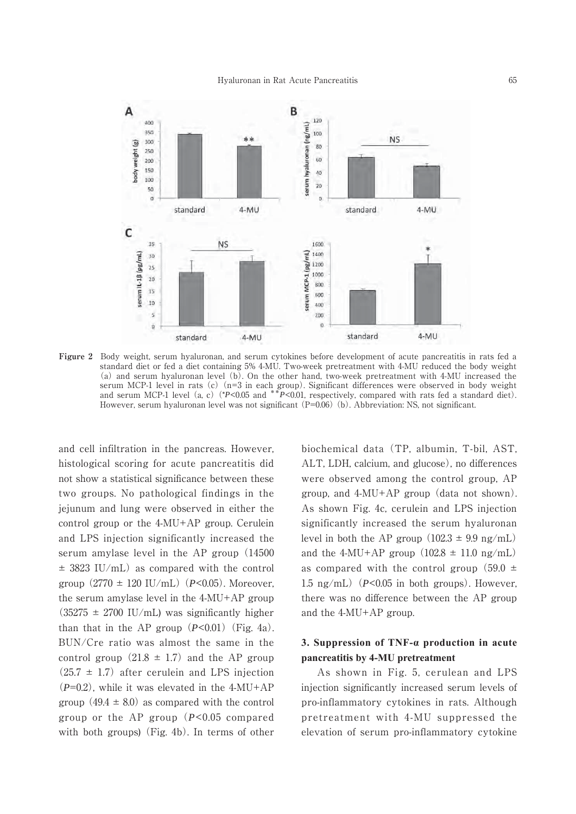

**Figure 2** Body weight, serum hyaluronan, and serum cytokines before development of acute pancreatitis in rats fed a standard diet or fed a diet containing 5% 4-MU. Two-week pretreatment with 4-MU reduced the body weight (a) and serum hyaluronan level (b). On the other hand, two-week pretreatment with 4-MU increased the serum MCP-1 level in rats (c)(n=3 in each group). Significant differences were observed in body weight and serum MCP-1 level (a, c) (\**P*<0.05 and \*\**P*<0.01, respectively, compared with rats fed a standard diet). However, serum hyaluronan level was not significant (P=0.06) (b). Abbreviation: NS, not significant.

and cell infiltration in the pancreas. However, histological scoring for acute pancreatitis did not show a statistical significance between these two groups. No pathological findings in the jejunum and lung were observed in either the control group or the 4-MU+AP group. Cerulein and LPS injection significantly increased the serum amylase level in the AP group (14500  $\pm$  3823 IU/mL) as compared with the control group  $(2770 \pm 120 \text{ IU/mL})$   $(P<0.05)$ . Moreover, the serum amylase level in the 4-MU+AP group  $(35275 \pm 2700 \text{ IU/mL})$  was significantly higher than that in the AP group  $(P<0.01)$  (Fig. 4a). BUN/Cre ratio was almost the same in the control group  $(21.8 \pm 1.7)$  and the AP group  $(25.7 \pm 1.7)$  after cerulein and LPS injection (*P*=0.2), while it was elevated in the 4-MU+AP group  $(49.4 \pm 8.0)$  as compared with the control group or the AP group (*P*<0.05 compared with both groups) (Fig. 4b). In terms of other biochemical data (TP, albumin, T-bil, AST, ALT, LDH, calcium, and glucose), no differences were observed among the control group, AP group, and 4-MU+AP group (data not shown). As shown Fig. 4c, cerulein and LPS injection significantly increased the serum hyaluronan level in both the AP group  $(102.3 \pm 9.9 \text{ ng/mL})$ and the 4-MU+AP group  $(102.8 \pm 11.0 \text{ ng/mL})$ as compared with the control group  $(59.0 \pm$ 1.5 ng/mL)  $(P<0.05$  in both groups). However, there was no difference between the AP group and the 4-MU+AP group.

### **3. Suppression of TNF-a production in acute pancreatitis by 4-MU pretreatment**

 As shown in Fig. 5, cerulean and LPS injection significantly increased serum levels of pro-inflammatory cytokines in rats. Although pretreatment with 4-MU suppressed the elevation of serum pro-inflammatory cytokine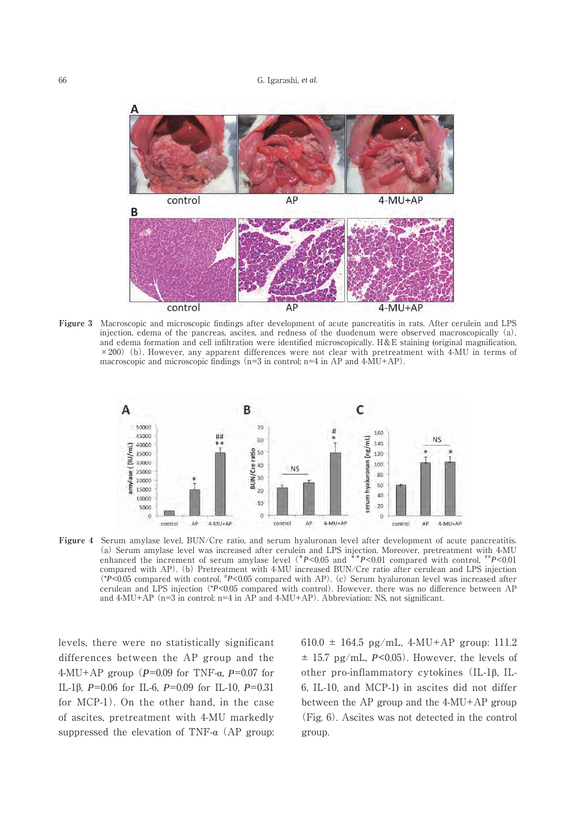

**Figure 3** Macroscopic and microscopic findings after development of acute pancreatitis in rats. After cerulein and LPS injection, edema of the pancreas, ascites, and redness of the duodenum were observed macroscopically (a), and edema formation and cell infiltration were identified microscopically. H&E staining (original magnification,  $\times$ 200) (b). However, any apparent differences were not clear with pretreatment with 4-MU in terms of macroscopic and microscopic findings (n=3 in control; n=4 in AP and 4-MU+AP).



Figure 4 Serum amylase level, BUN/Cre ratio, and serum hyaluronan level after development of acute pancreatitis. (a) Serum amylase level was increased after cerulein and LPS injection. Moreover, pretreatment with 4-MU enhanced the increment of serum amylase level (\**P*<0.05 and \*\**P*<0.01 compared with control, \*\**P*<0.01 compared with AP). (b) Pretreatment with 4-MU increased BUN/Cre ratio after cerulean and LPS injection (\**P*<0.05 compared with control, # *P*<0.05 compared with AP). (c) Serum hyaluronan level was increased after cerulean and LPS injection (\**P*<0.05 compared with control). However, there was no difference between AP and  $4-MU+AP$  (n=3 in control; n=4 in AP and  $4-MU+AP$ ). Abbreviation: NS, not significant.

levels, there were no statistically significant differences between the AP group and the  $4-MU+AP$  group ( $P=0.09$  for TNF- $\alpha$ ,  $P=0.07$  for IL-1ȕ, *P*=0.06 for IL-6, *P*=0.09 for IL-10, *P*=0.31 for MCP-1). On the other hand, in the case of ascites, pretreatment with 4-MU markedly suppressed the elevation of TNF- $\alpha$  (AP group: 610.0  $\pm$  164.5 pg/mL, 4-MU+AP group: 111.2  $\pm$  15.7 pg/mL, *P*<0.05). However, the levels of other pro-inflammatory cytokines  $(IL-1<sub>β</sub>, IL-1<sub>β</sub>)$ 6, IL-10, and MCP-1) in ascites did not differ between the AP group and the 4-MU+AP group (Fig. 6). Ascites was not detected in the control group.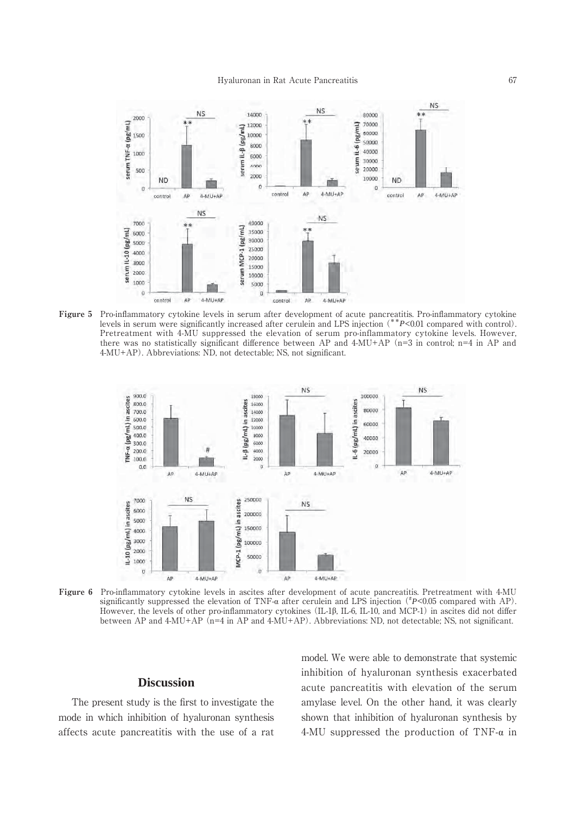

**Figure 5** Pro-inflammatory cytokine levels in serum after development of acute pancreatitis. Pro-inflammatory cytokine levels in serum were significantly increased after cerulein and LPS injection (\*\**P*<0.01 compared with control). Pretreatment with 4-MU suppressed the elevation of serum pro-inflammatory cytokine levels. However, there was no statistically significant difference between AP and 4-MU+AP (n=3 in control; n=4 in AP and 4-MU+AP). Abbreviations: ND, not detectable; NS, not significant.



**Figure 6** Pro-inflammatory cytokine levels in ascites after development of acute pancreatitis. Pretreatment with 4-MU significantly suppressed the elevation of TNF- $\alpha$  after cerulein and LPS injection ( $\hbar$ P<0.05 compared with AP). However, the levels of other pro-inflammatory cytokines (IL-1 $\beta$ , IL-6, IL-10, and MCP-1) in ascites did not differ between AP and 4-MU+AP (n=4 in AP and 4-MU+AP). Abbreviations: ND, not detectable; NS, not significant.

## **Discussion**

 The present study is the first to investigate the mode in which inhibition of hyaluronan synthesis affects acute pancreatitis with the use of a rat model. We were able to demonstrate that systemic inhibition of hyaluronan synthesis exacerbated acute pancreatitis with elevation of the serum amylase level. On the other hand, it was clearly shown that inhibition of hyaluronan synthesis by 4-MU suppressed the production of TNF- $\alpha$  in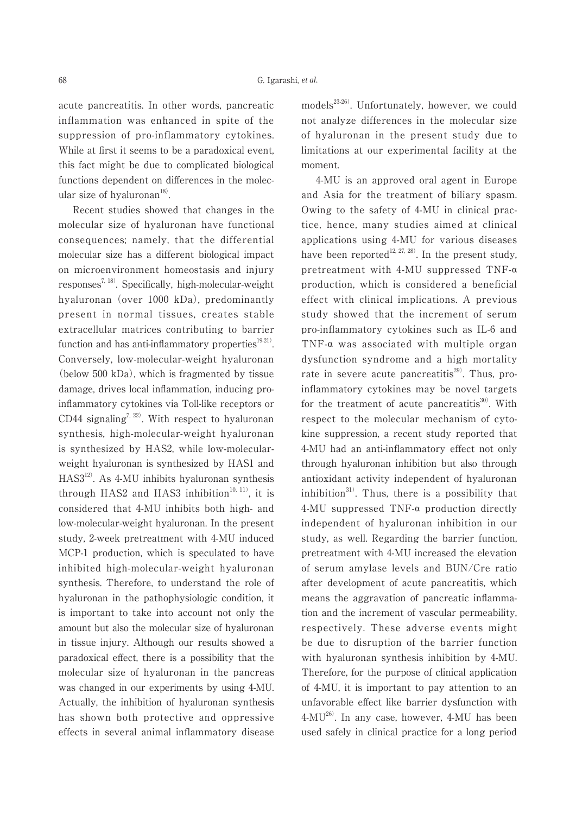acute pancreatitis. In other words, pancreatic inflammation was enhanced in spite of the suppression of pro-inflammatory cytokines. While at first it seems to be a paradoxical event, this fact might be due to complicated biological functions dependent on differences in the molecular size of hyaluronan $18$ .

 Recent studies showed that changes in the molecular size of hyaluronan have functional consequences; namely, that the differential molecular size has a different biological impact on microenvironment homeostasis and injury responses<sup>7, 18)</sup>. Specifically, high-molecular-weight hyaluronan (over 1000 kDa), predominantly present in normal tissues, creates stable extracellular matrices contributing to barrier function and has anti-inflammatory properties $19-21$ . Conversely, low-molecular-weight hyaluronan (below 500 kDa), which is fragmented by tissue damage, drives local inflammation, inducing proinflammatory cytokines via Toll-like receptors or CD44 signaling<sup>7, 22)</sup>. With respect to hyaluronan synthesis, high-molecular-weight hyaluronan is synthesized by HAS2, while low-molecularweight hyaluronan is synthesized by HAS1 and HAS312). As 4-MU inhibits hyaluronan synthesis through HAS2 and HAS3 inhibition $10, 111$ , it is considered that 4-MU inhibits both high- and low-molecular-weight hyaluronan. In the present study, 2-week pretreatment with 4-MU induced MCP-1 production, which is speculated to have inhibited high-molecular-weight hyaluronan synthesis. Therefore, to understand the role of hyaluronan in the pathophysiologic condition, it is important to take into account not only the amount but also the molecular size of hyaluronan in tissue injury. Although our results showed a paradoxical effect, there is a possibility that the molecular size of hyaluronan in the pancreas was changed in our experiments by using 4-MU. Actually, the inhibition of hyaluronan synthesis has shown both protective and oppressive effects in several animal inflammatory disease models<sup>23-26)</sup>. Unfortunately, however, we could not analyze differences in the molecular size of hyaluronan in the present study due to limitations at our experimental facility at the moment.

 4-MU is an approved oral agent in Europe and Asia for the treatment of biliary spasm. Owing to the safety of 4-MU in clinical practice, hence, many studies aimed at clinical applications using 4-MU for various diseases have been reported<sup>12, 27, 28)</sup>. In the present study, pretreatment with 4-MU suppressed TNF- $\alpha$ production, which is considered a beneficial effect with clinical implications. A previous study showed that the increment of serum pro-inflammatory cytokines such as IL-6 and TNF- $\alpha$  was associated with multiple organ dysfunction syndrome and a high mortality rate in severe acute pancreatitis $^{29}$ . Thus, proinflammatory cytokines may be novel targets for the treatment of acute pancreatitis<sup>30)</sup>. With respect to the molecular mechanism of cytokine suppression, a recent study reported that 4-MU had an anti-inflammatory effect not only through hyaluronan inhibition but also through antioxidant activity independent of hyaluronan inhibition $^{31}$ . Thus, there is a possibility that  $4-MU$  suppressed TNF- $\alpha$  production directly independent of hyaluronan inhibition in our study, as well. Regarding the barrier function, pretreatment with 4-MU increased the elevation of serum amylase levels and BUN/Cre ratio after development of acute pancreatitis, which means the aggravation of pancreatic inflammation and the increment of vascular permeability, respectively. These adverse events might be due to disruption of the barrier function with hyaluronan synthesis inhibition by 4-MU. Therefore, for the purpose of clinical application of 4-MU, it is important to pay attention to an unfavorable effect like barrier dysfunction with 4-MU26). In any case, however, 4-MU has been used safely in clinical practice for a long period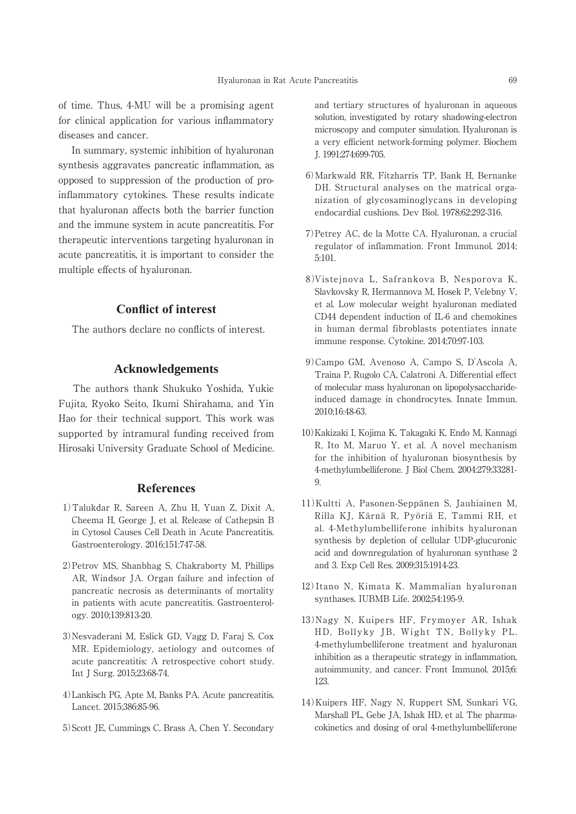of time. Thus, 4-MU will be a promising agent for clinical application for various inflammatory diseases and cancer.

 In summary, systemic inhibition of hyaluronan synthesis aggravates pancreatic inflammation, as opposed to suppression of the production of proinflammatory cytokines. These results indicate that hyaluronan affects both the barrier function and the immune system in acute pancreatitis. For therapeutic interventions targeting hyaluronan in acute pancreatitis, it is important to consider the multiple effects of hyaluronan.

### **Conflict of interest**

The authors declare no conflicts of interest.

#### **Acknowledgements**

 The authors thank Shukuko Yoshida, Yukie Fujita, Ryoko Seito, Ikumi Shirahama, and Yin Hao for their technical support. This work was supported by intramural funding received from Hirosaki University Graduate School of Medicine.

#### **References**

- 1)Talukdar R, Sareen A, Zhu H, Yuan Z, Dixit A, Cheema H, George J, et al. Release of Cathepsin B in Cytosol Causes Cell Death in Acute Pancreatitis. Gastroenterology. 2016;151:747-58.
- 2)Petrov MS, Shanbhag S, Chakraborty M, Phillips AR, Windsor JA. Organ failure and infection of pancreatic necrosis as determinants of mortality in patients with acute pancreatitis. Gastroenterology. 2010;139:813-20.
- 3)Nesvaderani M, Eslick GD, Vagg D, Faraj S, Cox MR. Epidemiology, aetiology and outcomes of acute pancreatitis: A retrospective cohort study. Int J Surg. 2015;23:68-74.
- 4)Lankisch PG, Apte M, Banks PA. Acute pancreatitis. Lancet. 2015;386:85-96.
- 5)Scott JE, Cummings C, Brass A, Chen Y. Secondary

and tertiary structures of hyaluronan in aqueous solution, investigated by rotary shadowing-electron microscopy and computer simulation. Hyaluronan is a very efficient network-forming polymer. Biochem J. 1991;274:699-705.

- 6)Markwald RR, Fitzharris TP, Bank H, Bernanke DH. Structural analyses on the matrical organization of glycosaminoglycans in developing endocardial cushions. Dev Biol. 1978;62:292-316.
- 7)Petrey AC, de la Motte CA. Hyaluronan, a crucial regulator of inflammation. Front Immunol. 2014; 5:101.
- 8)Vistejnova L, Safrankova B, Nesporova K, Slavkovsky R, Hermannova M, Hosek P, Velebny V, et al. Low molecular weight hyaluronan mediated CD44 dependent induction of IL-6 and chemokines in human dermal fibroblasts potentiates innate immune response. Cytokine. 2014;70:97-103.
- 9)Campo GM, Avenoso A, Campo S, D'Ascola A, Traina P, Rugolo CA, Calatroni A. Differential effect of molecular mass hyaluronan on lipopolysaccharideinduced damage in chondrocytes. Innate Immun. 2010;16:48-63.
- 10)Kakizaki I, Kojima K, Takagaki K, Endo M, Kannagi R, Ito M, Maruo Y, et al. A novel mechanism for the inhibition of hyaluronan biosynthesis by 4-methylumbelliferone. J Biol Chem. 2004:279:33281- 9.
- 11)Kultti A, Pasonen-Seppänen S, Jauhiainen M, Rilla KJ, Kärnä R, Pyöriä E, Tammi RH, et al. 4-Methylumbelliferone inhibits hyaluronan synthesis by depletion of cellular UDP-glucuronic acid and downregulation of hyaluronan synthase 2 and 3. Exp Cell Res. 2009;315:1914-23.
- 12)Itano N, Kimata K. Mammalian hyaluronan synthases. IUBMB Life. 2002;54:195-9.
- 13)Nagy N, Kuipers HF, Frymoyer AR, Ishak HD, Bollyky JB, Wight TN, Bollyky PL. 4-methylumbelliferone treatment and hyaluronan inhibition as a therapeutic strategy in inflammation, autoimmunity, and cancer. Front Immunol. 2015;6: 123.
- 14)Kuipers HF, Nagy N, Ruppert SM, Sunkari VG, Marshall PL, Gebe JA, Ishak HD, et al. The pharmacokinetics and dosing of oral 4-methylumbelliferone